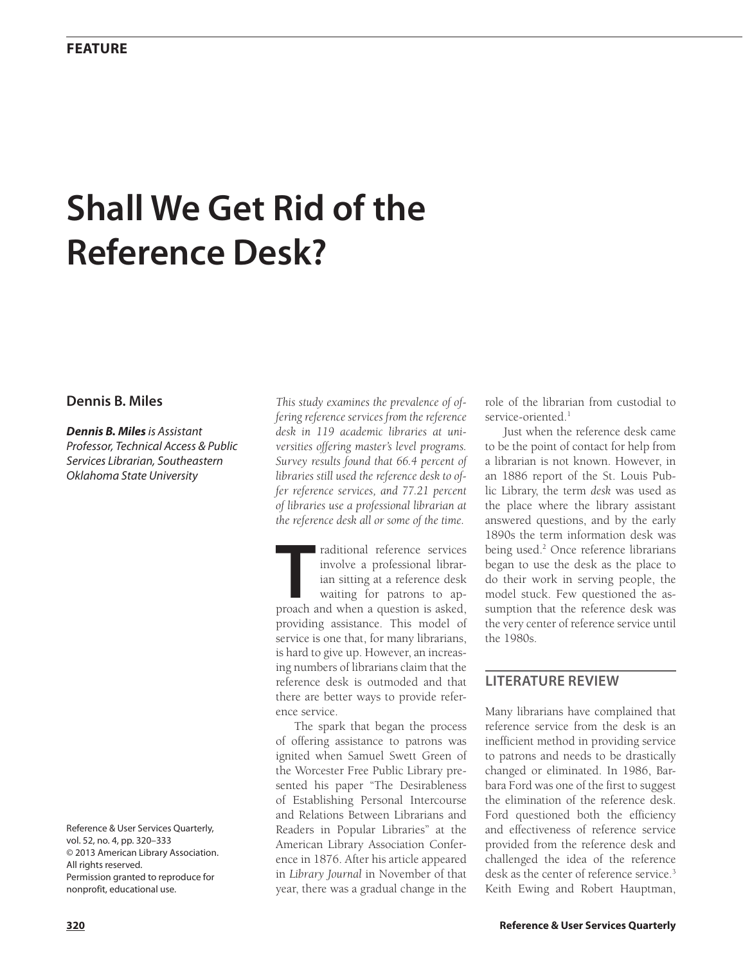# **Shall We Get Rid of the Reference Desk?**

# **Dennis B. Miles**

*Dennis B. Miles is Assistant Professor, Technical Access & Public Services Librarian, Southeastern Oklahoma State University*

Reference & User Services Quarterly, vol. 52, no. 4, pp. 320–333 © 2013 American Library Association. All rights reserved. Permission granted to reproduce for nonprofit, educational use.

*This study examines the prevalence of offering reference services from the reference desk in 119 academic libraries at universities offering master's level programs. Survey results found that 66.4 percent of libraries still used the reference desk to offer reference services, and 77.21 percent of libraries use a professional librarian at the reference desk all or some of the time.*

Traditional reference services<br>
involve a professional librar-<br>
ian sitting at a reference desk<br>
waiting for patrons to ap-<br>
proach and when a question is asked, involve a professional librarian sitting at a reference desk waiting for patrons to approviding assistance. This model of service is one that, for many librarians, is hard to give up. However, an increasing numbers of librarians claim that the reference desk is outmoded and that there are better ways to provide reference service.

The spark that began the process of offering assistance to patrons was ignited when Samuel Swett Green of the Worcester Free Public Library presented his paper "The Desirableness of Establishing Personal Intercourse and Relations Between Librarians and Readers in Popular Libraries" at the American Library Association Conference in 1876. After his article appeared in *Library Journal* in November of that year, there was a gradual change in the

role of the librarian from custodial to service-oriented.<sup>1</sup>

Just when the reference desk came to be the point of contact for help from a librarian is not known. However, in an 1886 report of the St. Louis Public Library, the term *desk* was used as the place where the library assistant answered questions, and by the early 1890s the term information desk was being used.<sup>2</sup> Once reference librarians began to use the desk as the place to do their work in serving people, the model stuck. Few questioned the assumption that the reference desk was the very center of reference service until the 1980s.

#### **Literature Review**

Many librarians have complained that reference service from the desk is an inefficient method in providing service to patrons and needs to be drastically changed or eliminated. In 1986, Barbara Ford was one of the first to suggest the elimination of the reference desk. Ford questioned both the efficiency and effectiveness of reference service provided from the reference desk and challenged the idea of the reference desk as the center of reference service.<sup>3</sup> Keith Ewing and Robert Hauptman,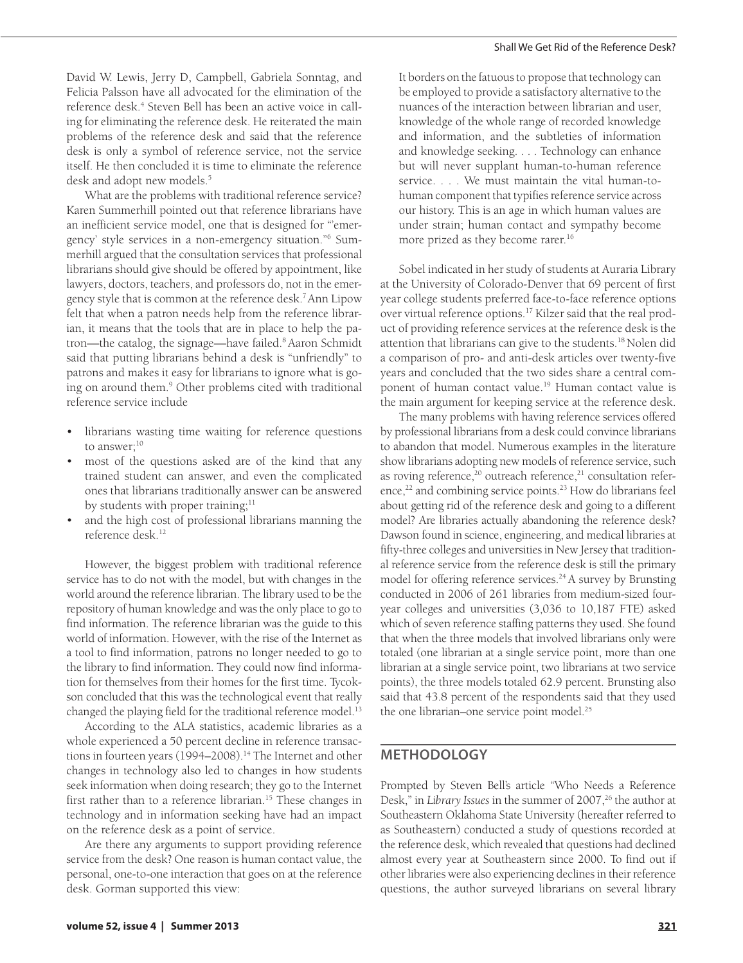David W. Lewis, Jerry D, Campbell, Gabriela Sonntag, and Felicia Palsson have all advocated for the elimination of the reference desk.<sup>4</sup> Steven Bell has been an active voice in calling for eliminating the reference desk. He reiterated the main problems of the reference desk and said that the reference desk is only a symbol of reference service, not the service itself. He then concluded it is time to eliminate the reference desk and adopt new models.<sup>5</sup>

What are the problems with traditional reference service? Karen Summerhill pointed out that reference librarians have an inefficient service model, one that is designed for "'emergency' style services in a non-emergency situation."6 Summerhill argued that the consultation services that professional librarians should give should be offered by appointment, like lawyers, doctors, teachers, and professors do, not in the emergency style that is common at the reference desk.7 Ann Lipow felt that when a patron needs help from the reference librarian, it means that the tools that are in place to help the patron—the catalog, the signage—have failed.<sup>8</sup> Aaron Schmidt said that putting librarians behind a desk is "unfriendly" to patrons and makes it easy for librarians to ignore what is going on around them.<sup>9</sup> Other problems cited with traditional reference service include

- librarians wasting time waiting for reference questions to answer:<sup>10</sup>
- most of the questions asked are of the kind that any trained student can answer, and even the complicated ones that librarians traditionally answer can be answered by students with proper training; $11$
- and the high cost of professional librarians manning the reference desk.<sup>12</sup>

However, the biggest problem with traditional reference service has to do not with the model, but with changes in the world around the reference librarian. The library used to be the repository of human knowledge and was the only place to go to find information. The reference librarian was the guide to this world of information. However, with the rise of the Internet as a tool to find information, patrons no longer needed to go to the library to find information. They could now find information for themselves from their homes for the first time. Tycokson concluded that this was the technological event that really changed the playing field for the traditional reference model.<sup>13</sup>

According to the ALA statistics, academic libraries as a whole experienced a 50 percent decline in reference transactions in fourteen years (1994–2008).<sup>14</sup> The Internet and other changes in technology also led to changes in how students seek information when doing research; they go to the Internet first rather than to a reference librarian.<sup>15</sup> These changes in technology and in information seeking have had an impact on the reference desk as a point of service.

Are there any arguments to support providing reference service from the desk? One reason is human contact value, the personal, one-to-one interaction that goes on at the reference desk. Gorman supported this view:

It borders on the fatuous to propose that technology can be employed to provide a satisfactory alternative to the nuances of the interaction between librarian and user, knowledge of the whole range of recorded knowledge and information, and the subtleties of information and knowledge seeking. . . . Technology can enhance but will never supplant human-to-human reference service. . . . We must maintain the vital human-tohuman component that typifies reference service across our history. This is an age in which human values are under strain; human contact and sympathy become more prized as they become rarer.<sup>16</sup>

Sobel indicated in her study of students at Auraria Library at the University of Colorado-Denver that 69 percent of first year college students preferred face-to-face reference options over virtual reference options.17 Kilzer said that the real product of providing reference services at the reference desk is the attention that librarians can give to the students.<sup>18</sup> Nolen did a comparison of pro- and anti-desk articles over twenty-five years and concluded that the two sides share a central component of human contact value.19 Human contact value is the main argument for keeping service at the reference desk.

The many problems with having reference services offered by professional librarians from a desk could convince librarians to abandon that model. Numerous examples in the literature show librarians adopting new models of reference service, such as roving reference,<sup>20</sup> outreach reference,<sup>21</sup> consultation reference,<sup>22</sup> and combining service points.<sup>23</sup> How do librarians feel about getting rid of the reference desk and going to a different model? Are libraries actually abandoning the reference desk? Dawson found in science, engineering, and medical libraries at fifty-three colleges and universities in New Jersey that traditional reference service from the reference desk is still the primary model for offering reference services.<sup>24</sup> A survey by Brunsting conducted in 2006 of 261 libraries from medium-sized fouryear colleges and universities (3,036 to 10,187 FTE) asked which of seven reference staffing patterns they used. She found that when the three models that involved librarians only were totaled (one librarian at a single service point, more than one librarian at a single service point, two librarians at two service points), the three models totaled 62.9 percent. Brunsting also said that 43.8 percent of the respondents said that they used the one librarian–one service point model.<sup>25</sup>

# **Methodology**

Prompted by Steven Bell's article "Who Needs a Reference Desk," in *Library Issues* in the summer of 2007,<sup>26</sup> the author at Southeastern Oklahoma State University (hereafter referred to as Southeastern) conducted a study of questions recorded at the reference desk, which revealed that questions had declined almost every year at Southeastern since 2000. To find out if other libraries were also experiencing declines in their reference questions, the author surveyed librarians on several library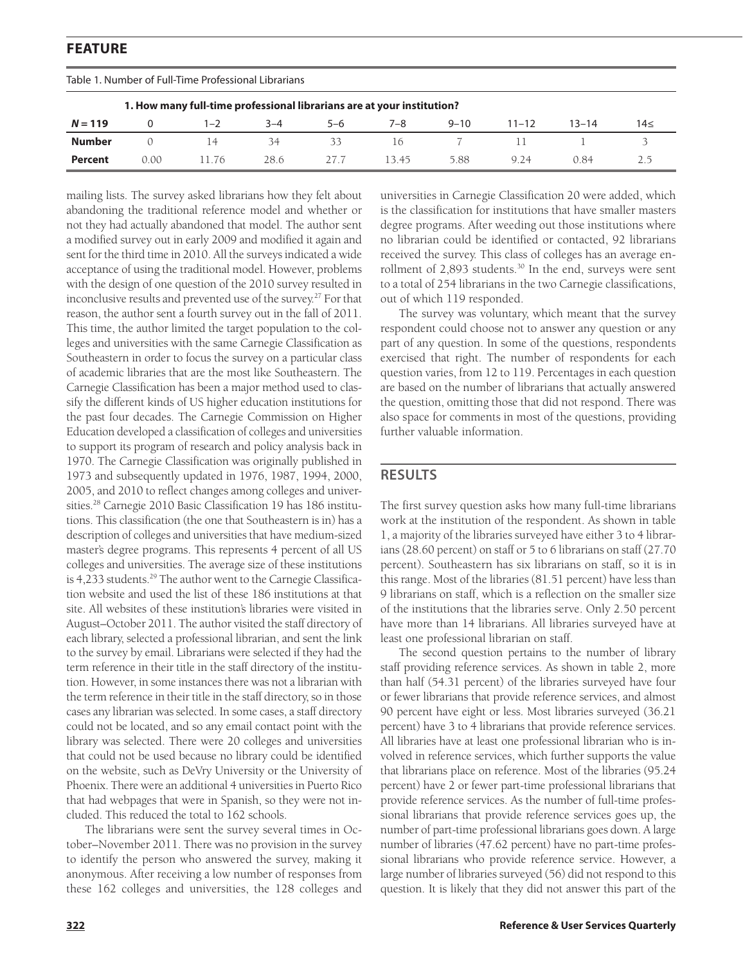|                                                                        |          | Table 1. Number of Full-Time Professional Librarians |         |         |      |          |           |           |     |
|------------------------------------------------------------------------|----------|------------------------------------------------------|---------|---------|------|----------|-----------|-----------|-----|
| 1. How many full-time professional librarians are at your institution? |          |                                                      |         |         |      |          |           |           |     |
| $N = 119$                                                              | 0        | $1 - 2$                                              | $3 - 4$ | $5 - 6$ | 7–8  | $9 - 10$ | $11 - 12$ | $13 - 14$ | 14≤ |
| <b>Number</b>                                                          | $^{(1)}$ | 14                                                   | 34      | 33      | 16   |          |           |           |     |
| Percent                                                                | 0.00     | 1176                                                 | 28.6    | 27 Z    | 1345 | 5.88     | Q 24      | 0.84      |     |

mailing lists. The survey asked librarians how they felt about abandoning the traditional reference model and whether or not they had actually abandoned that model. The author sent a modified survey out in early 2009 and modified it again and sent for the third time in 2010. All the surveys indicated a wide acceptance of using the traditional model. However, problems with the design of one question of the 2010 survey resulted in inconclusive results and prevented use of the survey.<sup>27</sup> For that reason, the author sent a fourth survey out in the fall of 2011. This time, the author limited the target population to the colleges and universities with the same Carnegie Classification as Southeastern in order to focus the survey on a particular class of academic libraries that are the most like Southeastern. The Carnegie Classification has been a major method used to classify the different kinds of US higher education institutions for the past four decades. The Carnegie Commission on Higher Education developed a classification of colleges and universities to support its program of research and policy analysis back in 1970. The Carnegie Classification was originally published in 1973 and subsequently updated in 1976, 1987, 1994, 2000, 2005, and 2010 to reflect changes among colleges and universities.<sup>28</sup> Carnegie 2010 Basic Classification 19 has 186 institutions. This classification (the one that Southeastern is in) has a description of colleges and universities that have medium-sized master's degree programs. This represents 4 percent of all US colleges and universities. The average size of these institutions is 4,233 students.<sup>29</sup> The author went to the Carnegie Classification website and used the list of these 186 institutions at that site. All websites of these institution's libraries were visited in August–October 2011. The author visited the staff directory of each library, selected a professional librarian, and sent the link to the survey by email. Librarians were selected if they had the term reference in their title in the staff directory of the institution. However, in some instances there was not a librarian with the term reference in their title in the staff directory, so in those cases any librarian was selected. In some cases, a staff directory could not be located, and so any email contact point with the library was selected. There were 20 colleges and universities that could not be used because no library could be identified on the website, such as DeVry University or the University of Phoenix. There were an additional 4 universities in Puerto Rico that had webpages that were in Spanish, so they were not included. This reduced the total to 162 schools.

The librarians were sent the survey several times in October–November 2011. There was no provision in the survey to identify the person who answered the survey, making it anonymous. After receiving a low number of responses from these 162 colleges and universities, the 128 colleges and

universities in Carnegie Classification 20 were added, which is the classification for institutions that have smaller masters degree programs. After weeding out those institutions where no librarian could be identified or contacted, 92 librarians received the survey. This class of colleges has an average enrollment of 2,893 students.<sup>30</sup> In the end, surveys were sent to a total of 254 librarians in the two Carnegie classifications, out of which 119 responded.

The survey was voluntary, which meant that the survey respondent could choose not to answer any question or any part of any question. In some of the questions, respondents exercised that right. The number of respondents for each question varies, from 12 to 119. Percentages in each question are based on the number of librarians that actually answered the question, omitting those that did not respond. There was also space for comments in most of the questions, providing further valuable information.

#### **Results**

The first survey question asks how many full-time librarians work at the institution of the respondent. As shown in table 1, a majority of the libraries surveyed have either 3 to 4 librarians (28.60 percent) on staff or 5 to 6 librarians on staff (27.70 percent). Southeastern has six librarians on staff, so it is in this range. Most of the libraries (81.51 percent) have less than 9 librarians on staff, which is a reflection on the smaller size of the institutions that the libraries serve. Only 2.50 percent have more than 14 librarians. All libraries surveyed have at least one professional librarian on staff.

The second question pertains to the number of library staff providing reference services. As shown in table 2, more than half (54.31 percent) of the libraries surveyed have four or fewer librarians that provide reference services, and almost 90 percent have eight or less. Most libraries surveyed (36.21 percent) have 3 to 4 librarians that provide reference services. All libraries have at least one professional librarian who is involved in reference services, which further supports the value that librarians place on reference. Most of the libraries (95.24 percent) have 2 or fewer part-time professional librarians that provide reference services. As the number of full-time professional librarians that provide reference services goes up, the number of part-time professional librarians goes down. A large number of libraries (47.62 percent) have no part-time professional librarians who provide reference service. However, a large number of libraries surveyed (56) did not respond to this question. It is likely that they did not answer this part of the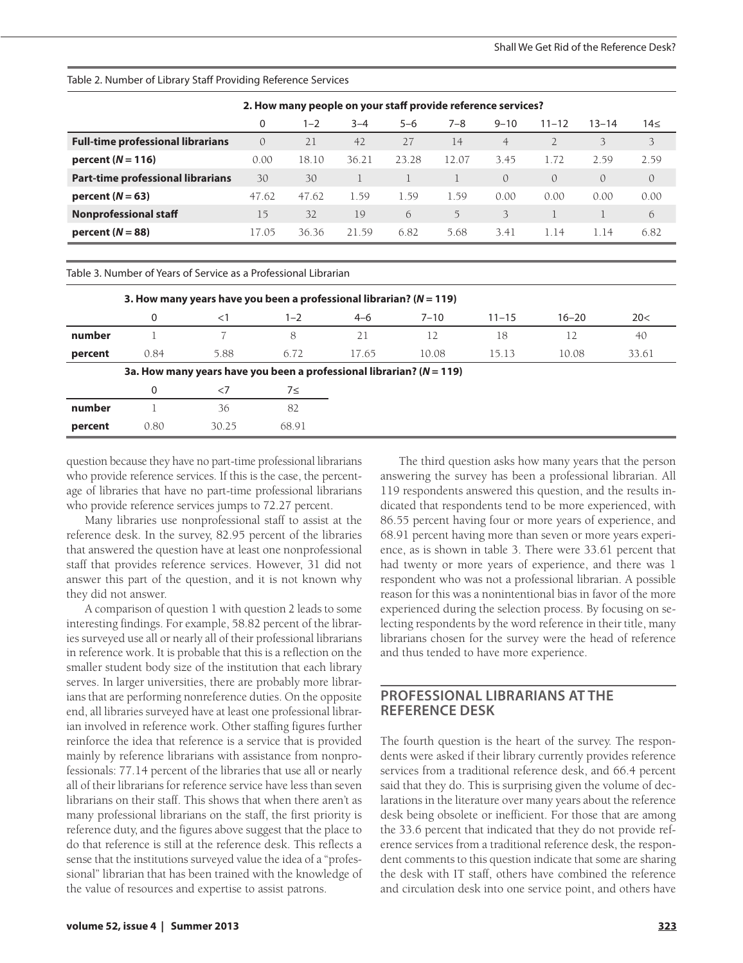| Table 2. Number of Library Staff Providing Reference Services |  |  |
|---------------------------------------------------------------|--|--|
|---------------------------------------------------------------|--|--|

|                                          | 2. How many people on your staff provide reference services? |         |         |         |         |                |               |               |               |
|------------------------------------------|--------------------------------------------------------------|---------|---------|---------|---------|----------------|---------------|---------------|---------------|
|                                          | 0                                                            | $1 - 2$ | $3 - 4$ | $5 - 6$ | $7 - 8$ | $9 - 10$       | $11 - 12$     | $13 - 14$     | 14≤           |
| <b>Full-time professional librarians</b> | $\Omega$                                                     | 21      | 42      | 27      | 14      | $\overline{4}$ |               | 3             | 3             |
| percent $(N = 116)$                      | 0.00                                                         | 18.10   | 36.21   | 23.28   | 12.07   | 3.45           | 1.72          | 2.59          | 2.59          |
| <b>Part-time professional librarians</b> | 30                                                           | 30      |         |         |         | $\mathbf{0}$   | $\mathcal{O}$ | $\mathcal{O}$ | $\mathcal{O}$ |
| percent $(N = 63)$                       | 47.62                                                        | 47.62   | 1.59    | 1.59    | 1.59    | 0.00           | 0.00          | 0.00          | 0.00          |
| <b>Nonprofessional staff</b>             | 15                                                           | 32      | 19      | 6       | 5       | 3              |               |               | 6             |
| percent $(N = 88)$                       | 17.05                                                        | 36.36   | 21.59   | 6.82    | 5.68    | 3.41           | 1.14          | 1.14          | 6.82          |

Table 3. Number of Years of Service as a Professional Librarian

|         |          |      |      | 3. How many years have you been a professional librarian? ( $N = 119$ )  |          |           |           |       |
|---------|----------|------|------|--------------------------------------------------------------------------|----------|-----------|-----------|-------|
|         | $\Omega$ |      | 1–2  | $4 - 6$                                                                  | $7 - 10$ | $11 - 15$ | $16 - 20$ | 20<   |
| number  |          |      |      |                                                                          |          | 18        |           | 40    |
| percent | 0.84     | 5.88 | 6.72 | 17.65                                                                    | 10.08    | 15 13     | 10.08     | 33.61 |
|         |          |      |      | 3a. How many years have you been a professional librarian? ( $N = 119$ ) |          |           |           |       |
|         |          |      |      |                                                                          |          |           |           |       |

question because they have no part-time professional librarians who provide reference services. If this is the case, the percentage of libraries that have no part-time professional librarians who provide reference services jumps to 72.27 percent.

**number** 1 36 82 **percent** 0.80 30.25 68.91

Many libraries use nonprofessional staff to assist at the reference desk. In the survey, 82.95 percent of the libraries that answered the question have at least one nonprofessional staff that provides reference services. However, 31 did not answer this part of the question, and it is not known why they did not answer.

A comparison of question 1 with question 2 leads to some interesting findings. For example, 58.82 percent of the libraries surveyed use all or nearly all of their professional librarians in reference work. It is probable that this is a reflection on the smaller student body size of the institution that each library serves. In larger universities, there are probably more librarians that are performing nonreference duties. On the opposite end, all libraries surveyed have at least one professional librarian involved in reference work. Other staffing figures further reinforce the idea that reference is a service that is provided mainly by reference librarians with assistance from nonprofessionals: 77.14 percent of the libraries that use all or nearly all of their librarians for reference service have less than seven librarians on their staff. This shows that when there aren't as many professional librarians on the staff, the first priority is reference duty, and the figures above suggest that the place to do that reference is still at the reference desk. This reflects a sense that the institutions surveyed value the idea of a "professional" librarian that has been trained with the knowledge of the value of resources and expertise to assist patrons.

The third question asks how many years that the person answering the survey has been a professional librarian. All 119 respondents answered this question, and the results indicated that respondents tend to be more experienced, with 86.55 percent having four or more years of experience, and 68.91 percent having more than seven or more years experience, as is shown in table 3. There were 33.61 percent that had twenty or more years of experience, and there was 1 respondent who was not a professional librarian. A possible reason for this was a nonintentional bias in favor of the more experienced during the selection process. By focusing on selecting respondents by the word reference in their title, many librarians chosen for the survey were the head of reference and thus tended to have more experience.

### **Professional Librarians at the Reference Desk**

The fourth question is the heart of the survey. The respondents were asked if their library currently provides reference services from a traditional reference desk, and 66.4 percent said that they do. This is surprising given the volume of declarations in the literature over many years about the reference desk being obsolete or inefficient. For those that are among the 33.6 percent that indicated that they do not provide reference services from a traditional reference desk, the respondent comments to this question indicate that some are sharing the desk with IT staff, others have combined the reference and circulation desk into one service point, and others have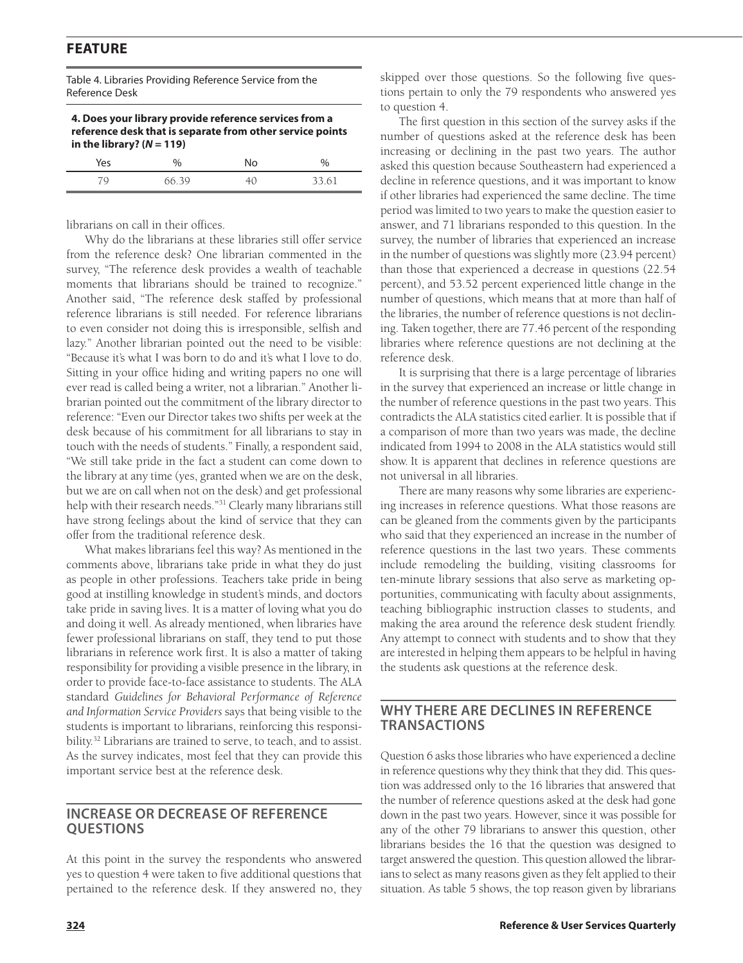| Table 4. Libraries Providing Reference Service from the |  |
|---------------------------------------------------------|--|
| Reference Desk                                          |  |

#### **4. Does your library provide reference services from a reference desk that is separate from other service points in the library? (***N* **= 119)**

| Yes | %     | No | $\%$  |
|-----|-------|----|-------|
| 7Q  | 66.39 |    | 33.61 |

librarians on call in their offices.

Why do the librarians at these libraries still offer service from the reference desk? One librarian commented in the survey, "The reference desk provides a wealth of teachable moments that librarians should be trained to recognize." Another said, "The reference desk staffed by professional reference librarians is still needed. For reference librarians to even consider not doing this is irresponsible, selfish and lazy." Another librarian pointed out the need to be visible: "Because it's what I was born to do and it's what I love to do. Sitting in your office hiding and writing papers no one will ever read is called being a writer, not a librarian." Another librarian pointed out the commitment of the library director to reference: "Even our Director takes two shifts per week at the desk because of his commitment for all librarians to stay in touch with the needs of students." Finally, a respondent said, "We still take pride in the fact a student can come down to the library at any time (yes, granted when we are on the desk, but we are on call when not on the desk) and get professional help with their research needs."<sup>31</sup> Clearly many librarians still have strong feelings about the kind of service that they can offer from the traditional reference desk.

What makes librarians feel this way? As mentioned in the comments above, librarians take pride in what they do just as people in other professions. Teachers take pride in being good at instilling knowledge in student's minds, and doctors take pride in saving lives. It is a matter of loving what you do and doing it well. As already mentioned, when libraries have fewer professional librarians on staff, they tend to put those librarians in reference work first. It is also a matter of taking responsibility for providing a visible presence in the library, in order to provide face-to-face assistance to students. The ALA standard *Guidelines for Behavioral Performance of Reference and Information Service Providers* says that being visible to the students is important to librarians, reinforcing this responsibility.<sup>32</sup> Librarians are trained to serve, to teach, and to assist. As the survey indicates, most feel that they can provide this important service best at the reference desk.

### **Increase or Decrease of Reference Questions**

At this point in the survey the respondents who answered yes to question 4 were taken to five additional questions that pertained to the reference desk. If they answered no, they skipped over those questions. So the following five questions pertain to only the 79 respondents who answered yes to question 4.

The first question in this section of the survey asks if the number of questions asked at the reference desk has been increasing or declining in the past two years. The author asked this question because Southeastern had experienced a decline in reference questions, and it was important to know if other libraries had experienced the same decline. The time period was limited to two years to make the question easier to answer, and 71 librarians responded to this question. In the survey, the number of libraries that experienced an increase in the number of questions was slightly more (23.94 percent) than those that experienced a decrease in questions (22.54 percent), and 53.52 percent experienced little change in the number of questions, which means that at more than half of the libraries, the number of reference questions is not declining. Taken together, there are 77.46 percent of the responding libraries where reference questions are not declining at the reference desk.

It is surprising that there is a large percentage of libraries in the survey that experienced an increase or little change in the number of reference questions in the past two years. This contradicts the ALA statistics cited earlier. It is possible that if a comparison of more than two years was made, the decline indicated from 1994 to 2008 in the ALA statistics would still show. It is apparent that declines in reference questions are not universal in all libraries.

There are many reasons why some libraries are experiencing increases in reference questions. What those reasons are can be gleaned from the comments given by the participants who said that they experienced an increase in the number of reference questions in the last two years. These comments include remodeling the building, visiting classrooms for ten-minute library sessions that also serve as marketing opportunities, communicating with faculty about assignments, teaching bibliographic instruction classes to students, and making the area around the reference desk student friendly. Any attempt to connect with students and to show that they are interested in helping them appears to be helpful in having the students ask questions at the reference desk.

# **Why There Are Declines in Reference Transactions**

Question 6 asks those libraries who have experienced a decline in reference questions why they think that they did. This question was addressed only to the 16 libraries that answered that the number of reference questions asked at the desk had gone down in the past two years. However, since it was possible for any of the other 79 librarians to answer this question, other librarians besides the 16 that the question was designed to target answered the question. This question allowed the librarians to select as many reasons given as they felt applied to their situation. As table 5 shows, the top reason given by librarians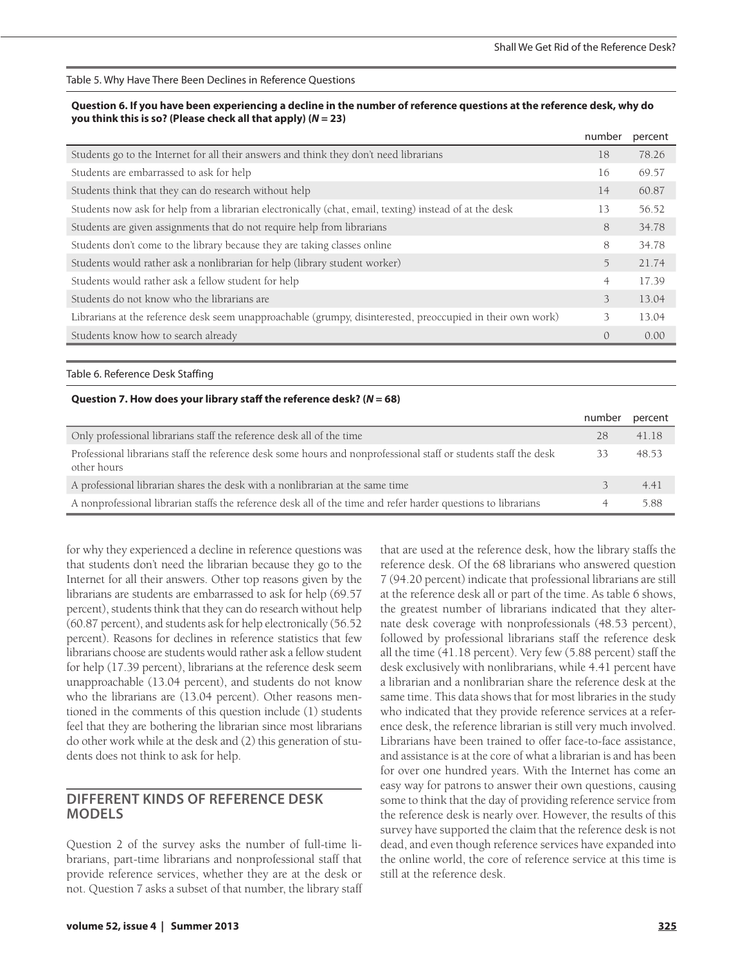Table 5. Why Have There Been Declines in Reference Questions

#### **Question 6. If you have been experiencing a decline in the number of reference questions at the reference desk, why do you think this is so? (Please check all that apply) (***N* **= 23)**

|                                                                                                             | number         | percent |
|-------------------------------------------------------------------------------------------------------------|----------------|---------|
| Students go to the Internet for all their answers and think they don't need librarians                      | 18             | 78.26   |
| Students are embarrassed to ask for help                                                                    | 16             | 69.57   |
| Students think that they can do research without help                                                       | 14             | 60.87   |
| Students now ask for help from a librarian electronically (chat, email, texting) instead of at the desk     | 13             | 56.52   |
| Students are given assignments that do not require help from librarians                                     | 8              | 34.78   |
| Students don't come to the library because they are taking classes online                                   | 8              | 34.78   |
| Students would rather ask a nonlibrarian for help (library student worker)                                  | 5              | 21.74   |
| Students would rather ask a fellow student for help                                                         | $\overline{4}$ | 17.39   |
| Students do not know who the librarians are                                                                 | 3              | 13.04   |
| Librarians at the reference desk seem unapproachable (grumpy, disinterested, preoccupied in their own work) | 3              | 13.04   |
| Students know how to search already                                                                         | $\mathcal{O}$  | 0.00    |

#### Table 6. Reference Desk Staffing

#### **Question 7. How does your library staff the reference desk? (***N* **= 68)**

|                                                                                                                                 | number | percent |
|---------------------------------------------------------------------------------------------------------------------------------|--------|---------|
| Only professional librarians staff the reference desk all of the time                                                           | 28     | 41.18   |
| Professional librarians staff the reference desk some hours and nonprofessional staff or students staff the desk<br>other hours | 33     | 48.53   |
| A professional librarian shares the desk with a nonlibrarian at the same time                                                   |        | 4.41    |
| A nonprofessional librarian staffs the reference desk all of the time and refer harder questions to librarians                  |        | 5.88    |

for why they experienced a decline in reference questions was that students don't need the librarian because they go to the Internet for all their answers. Other top reasons given by the librarians are students are embarrassed to ask for help (69.57 percent), students think that they can do research without help (60.87 percent), and students ask for help electronically (56.52 percent). Reasons for declines in reference statistics that few librarians choose are students would rather ask a fellow student for help (17.39 percent), librarians at the reference desk seem unapproachable (13.04 percent), and students do not know who the librarians are (13.04 percent). Other reasons mentioned in the comments of this question include (1) students feel that they are bothering the librarian since most librarians do other work while at the desk and (2) this generation of students does not think to ask for help.

## **Different Kinds of Reference Desk Models**

Question 2 of the survey asks the number of full-time librarians, part-time librarians and nonprofessional staff that provide reference services, whether they are at the desk or not. Question 7 asks a subset of that number, the library staff that are used at the reference desk, how the library staffs the reference desk. Of the 68 librarians who answered question 7 (94.20 percent) indicate that professional librarians are still at the reference desk all or part of the time. As table 6 shows, the greatest number of librarians indicated that they alternate desk coverage with nonprofessionals (48.53 percent), followed by professional librarians staff the reference desk all the time (41.18 percent). Very few (5.88 percent) staff the desk exclusively with nonlibrarians, while 4.41 percent have a librarian and a nonlibrarian share the reference desk at the same time. This data shows that for most libraries in the study who indicated that they provide reference services at a reference desk, the reference librarian is still very much involved. Librarians have been trained to offer face-to-face assistance, and assistance is at the core of what a librarian is and has been for over one hundred years. With the Internet has come an easy way for patrons to answer their own questions, causing some to think that the day of providing reference service from the reference desk is nearly over. However, the results of this survey have supported the claim that the reference desk is not dead, and even though reference services have expanded into the online world, the core of reference service at this time is still at the reference desk.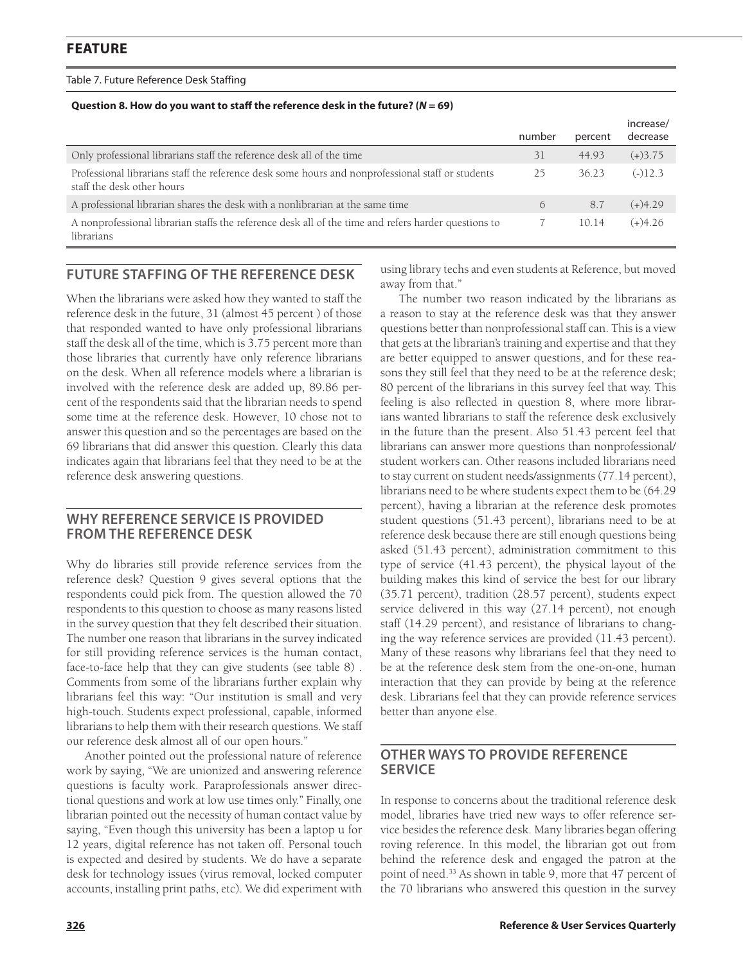#### Table 7. Future Reference Desk Staffing

#### **Question 8. How do you want to staff the reference desk in the future? (***N* **= 69)**

|                                                                                                                                 |        |         | increase/ |
|---------------------------------------------------------------------------------------------------------------------------------|--------|---------|-----------|
|                                                                                                                                 | number | percent | decrease  |
| Only professional librarians staff the reference desk all of the time                                                           | 31     | 44.93   | $(+)3.75$ |
| Professional librarians staff the reference desk some hours and nonprofessional staff or students<br>staff the desk other hours | 25     | 36.23   | $(-)12.3$ |
| A professional librarian shares the desk with a nonlibrarian at the same time                                                   | 6      | 8.7     | $(+)4.29$ |
| A nonprofessional librarian staffs the reference desk all of the time and refers harder questions to<br>librarians              |        | 10.14   | $(+)4.26$ |

# **Future Staffing of the Reference Desk**

When the librarians were asked how they wanted to staff the reference desk in the future, 31 (almost 45 percent ) of those that responded wanted to have only professional librarians staff the desk all of the time, which is 3.75 percent more than those libraries that currently have only reference librarians on the desk. When all reference models where a librarian is involved with the reference desk are added up, 89.86 percent of the respondents said that the librarian needs to spend some time at the reference desk. However, 10 chose not to answer this question and so the percentages are based on the 69 librarians that did answer this question. Clearly this data indicates again that librarians feel that they need to be at the reference desk answering questions.

### **Why Reference Service is Provided from the Reference Desk**

Why do libraries still provide reference services from the reference desk? Question 9 gives several options that the respondents could pick from. The question allowed the 70 respondents to this question to choose as many reasons listed in the survey question that they felt described their situation. The number one reason that librarians in the survey indicated for still providing reference services is the human contact, face-to-face help that they can give students (see table 8) . Comments from some of the librarians further explain why librarians feel this way: "Our institution is small and very high-touch. Students expect professional, capable, informed librarians to help them with their research questions. We staff our reference desk almost all of our open hours."

Another pointed out the professional nature of reference work by saying, "We are unionized and answering reference questions is faculty work. Paraprofessionals answer directional questions and work at low use times only." Finally, one librarian pointed out the necessity of human contact value by saying, "Even though this university has been a laptop u for 12 years, digital reference has not taken off. Personal touch is expected and desired by students. We do have a separate desk for technology issues (virus removal, locked computer accounts, installing print paths, etc). We did experiment with

using library techs and even students at Reference, but moved away from that."

The number two reason indicated by the librarians as a reason to stay at the reference desk was that they answer questions better than nonprofessional staff can. This is a view that gets at the librarian's training and expertise and that they are better equipped to answer questions, and for these reasons they still feel that they need to be at the reference desk; 80 percent of the librarians in this survey feel that way. This feeling is also reflected in question 8, where more librarians wanted librarians to staff the reference desk exclusively in the future than the present. Also 51.43 percent feel that librarians can answer more questions than nonprofessional/ student workers can. Other reasons included librarians need to stay current on student needs/assignments (77.14 percent), librarians need to be where students expect them to be (64.29 percent), having a librarian at the reference desk promotes student questions (51.43 percent), librarians need to be at reference desk because there are still enough questions being asked (51.43 percent), administration commitment to this type of service (41.43 percent), the physical layout of the building makes this kind of service the best for our library (35.71 percent), tradition (28.57 percent), students expect service delivered in this way (27.14 percent), not enough staff (14.29 percent), and resistance of librarians to changing the way reference services are provided (11.43 percent). Many of these reasons why librarians feel that they need to be at the reference desk stem from the one-on-one, human interaction that they can provide by being at the reference desk. Librarians feel that they can provide reference services better than anyone else.

# **Other Ways to Provide Reference Service**

In response to concerns about the traditional reference desk model, libraries have tried new ways to offer reference service besides the reference desk. Many libraries began offering roving reference. In this model, the librarian got out from behind the reference desk and engaged the patron at the point of need.<sup>33</sup> As shown in table 9, more that 47 percent of the 70 librarians who answered this question in the survey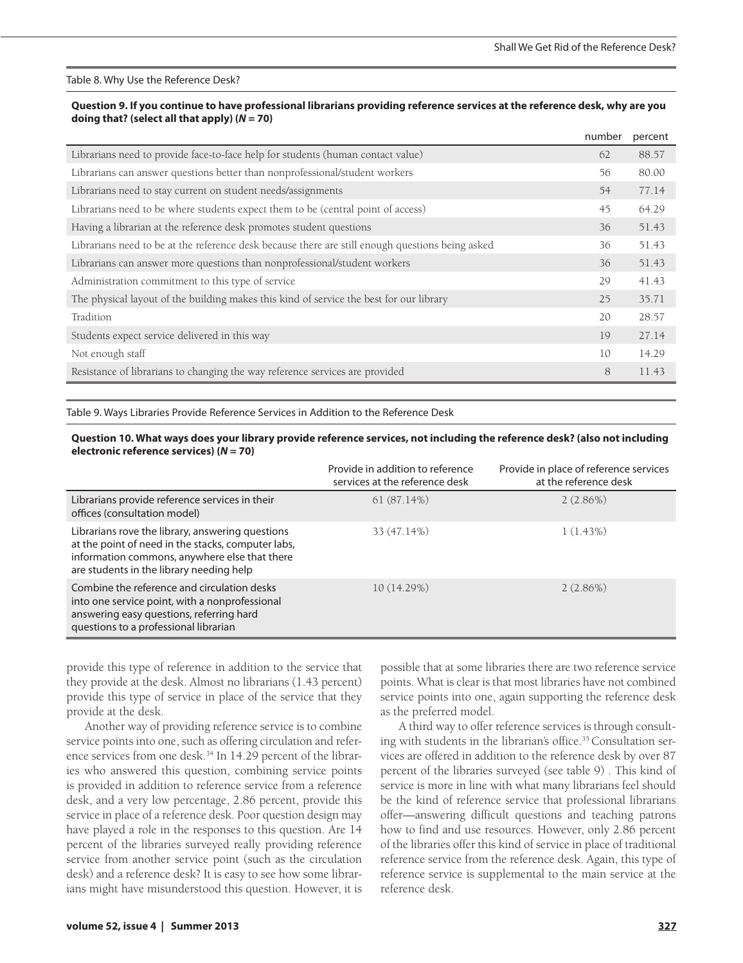#### Table 8. Why Use the Reference Desk?

#### **Question 9. If you continue to have professional librarians providing reference services at the reference desk, why are you doing that? (select all that apply) (***N* **= 70)**

|                                                                                                  | number | percent |
|--------------------------------------------------------------------------------------------------|--------|---------|
| Librarians need to provide face-to-face help for students (human contact value)                  | 62     | 88.57   |
| Librarians can answer questions better than nonprofessional/student workers                      | 56     | 80.00   |
| Librarians need to stay current on student needs/assignments                                     | 54     | 77.14   |
| Librarians need to be where students expect them to be (central point of access)                 | 45     | 64.29   |
| Having a librarian at the reference desk promotes student questions                              | 36     | 51.43   |
| Librarians need to be at the reference desk because there are still enough questions being asked | 36     | 51.43   |
| Librarians can answer more questions than nonprofessional/student workers                        | 36     | 51.43   |
| Administration commitment to this type of service                                                | 29     | 41.43   |
| The physical layout of the building makes this kind of service the best for our library          | 25     | 35.71   |
| Tradition                                                                                        | 20     | 28.57   |
| Students expect service delivered in this way                                                    | 19     | 27.14   |
| Not enough staff                                                                                 | 10     | 14.29   |
| Resistance of librarians to changing the way reference services are provided                     | 8      | 11.43   |

Table 9. Ways Libraries Provide Reference Services in Addition to the Reference Desk

#### **Question 10. What ways does your library provide reference services, not including the reference desk? (also not including electronic reference services) (***N* **= 70)**

|                                                                                                                                                                                                     | Provide in addition to reference<br>services at the reference desk | Provide in place of reference services<br>at the reference desk |
|-----------------------------------------------------------------------------------------------------------------------------------------------------------------------------------------------------|--------------------------------------------------------------------|-----------------------------------------------------------------|
| Librarians provide reference services in their<br>offices (consultation model)                                                                                                                      | 61(87.14%)                                                         | 2(2.86%)                                                        |
| Librarians rove the library, answering questions<br>at the point of need in the stacks, computer labs,<br>information commons, anywhere else that there<br>are students in the library needing help | $33(47.14\%)$                                                      | 1(1.43%)                                                        |
| Combine the reference and circulation desks<br>into one service point, with a nonprofessional<br>answering easy questions, referring hard<br>questions to a professional librarian                  | 10(14.29%)                                                         | 2(2.86%)                                                        |

provide this type of reference in addition to the service that they provide at the desk. Almost no librarians (1.43 percent) provide this type of service in place of the service that they provide at the desk.

Another way of providing reference service is to combine service points into one, such as offering circulation and reference services from one desk.<sup>34</sup> In 14.29 percent of the libraries who answered this question, combining service points is provided in addition to reference service from a reference desk, and a very low percentage, 2.86 percent, provide this service in place of a reference desk. Poor question design may have played a role in the responses to this question. Are 14 percent of the libraries surveyed really providing reference service from another service point (such as the circulation desk) and a reference desk? It is easy to see how some librarians might have misunderstood this question. However, it is

possible that at some libraries there are two reference service points. What is clear is that most libraries have not combined service points into one, again supporting the reference desk as the preferred model.

A third way to offer reference services is through consulting with students in the librarian's office.<sup>35</sup> Consultation services are offered in addition to the reference desk by over 87 percent of the libraries surveyed (see table 9) . This kind of service is more in line with what many librarians feel should be the kind of reference service that professional librarians offer—answering difficult questions and teaching patrons how to find and use resources. However, only 2.86 percent of the libraries offer this kind of service in place of traditional reference service from the reference desk. Again, this type of reference service is supplemental to the main service at the reference desk.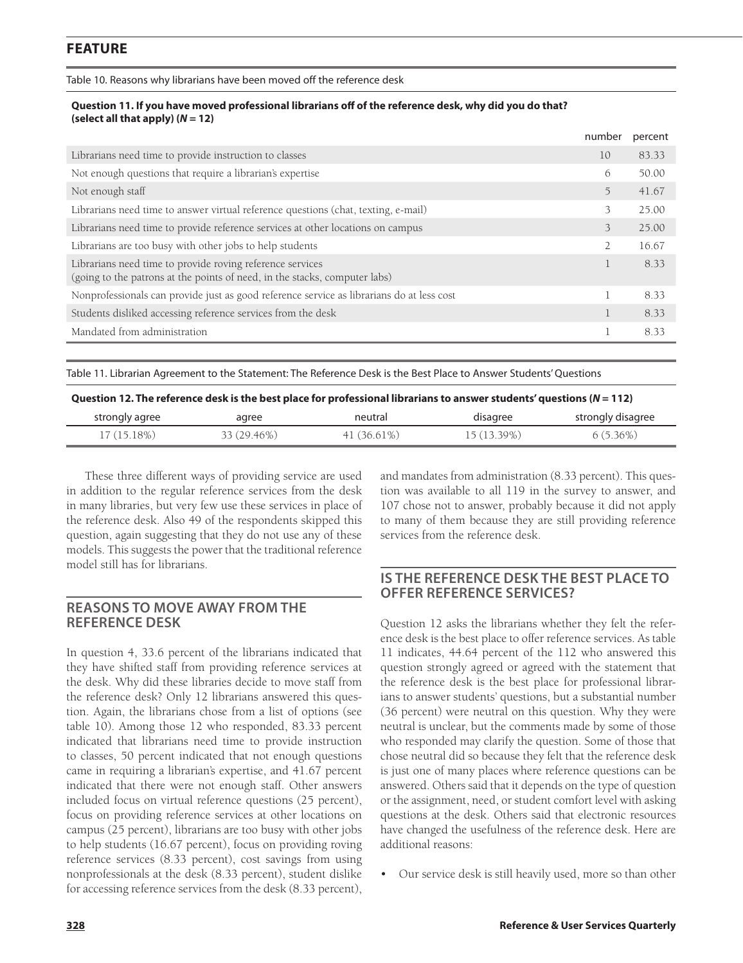Table 10. Reasons why librarians have been moved off the reference desk

#### **Question 11. If you have moved professional librarians off of the reference desk, why did you do that? (select all that apply) (***N* **= 12)**

|                                                                                                                                         | number         | percent |
|-----------------------------------------------------------------------------------------------------------------------------------------|----------------|---------|
| Librarians need time to provide instruction to classes                                                                                  | 10             | 83.33   |
| Not enough questions that require a librarian's expertise                                                                               | 6              | 50.00   |
| Not enough staff                                                                                                                        | 5              | 41.67   |
| Librarians need time to answer virtual reference questions (chat, texting, e-mail)                                                      | 3              | 25.00   |
| Librarians need time to provide reference services at other locations on campus                                                         | 3              | 25.00   |
| Librarians are too busy with other jobs to help students                                                                                | $\overline{2}$ | 16.67   |
| Librarians need time to provide roving reference services<br>(going to the patrons at the points of need, in the stacks, computer labs) | $\mathbf{1}$   | 8.33    |
| Nonprofessionals can provide just as good reference service as librarians do at less cost                                               | 1              | 8.33    |
| Students disliked accessing reference services from the desk                                                                            | 1              | 8.33    |
| Mandated from administration                                                                                                            | 1              | 8.33    |

Table 11. Librarian Agreement to the Statement: The Reference Desk is the Best Place to Answer Students' Questions

| Question 12. The reference desk is the best place for professional librarians to answer students' questions ( $N = 112$ ) |  |
|---------------------------------------------------------------------------------------------------------------------------|--|
|                                                                                                                           |  |

| strongly agree | agree    | neutral  | disagree    | strongly disagree |
|----------------|----------|----------|-------------|-------------------|
| (15.18%)       | (29.46%) | (36.61%) | $(13.39\%)$ | $(5.36\%)$        |

These three different ways of providing service are used in addition to the regular reference services from the desk in many libraries, but very few use these services in place of the reference desk. Also 49 of the respondents skipped this question, again suggesting that they do not use any of these models. This suggests the power that the traditional reference model still has for librarians.

# **Reasons to Move Away from the Reference Desk**

In question 4, 33.6 percent of the librarians indicated that they have shifted staff from providing reference services at the desk. Why did these libraries decide to move staff from the reference desk? Only 12 librarians answered this question. Again, the librarians chose from a list of options (see table 10). Among those 12 who responded, 83.33 percent indicated that librarians need time to provide instruction to classes, 50 percent indicated that not enough questions came in requiring a librarian's expertise, and 41.67 percent indicated that there were not enough staff. Other answers included focus on virtual reference questions (25 percent), focus on providing reference services at other locations on campus (25 percent), librarians are too busy with other jobs to help students (16.67 percent), focus on providing roving reference services (8.33 percent), cost savings from using nonprofessionals at the desk (8.33 percent), student dislike for accessing reference services from the desk (8.33 percent),

and mandates from administration (8.33 percent). This question was available to all 119 in the survey to answer, and 107 chose not to answer, probably because it did not apply to many of them because they are still providing reference services from the reference desk.

# **Is the Reference Desk the Best Place to Offer Reference Services?**

Question 12 asks the librarians whether they felt the reference desk is the best place to offer reference services. As table 11 indicates, 44.64 percent of the 112 who answered this question strongly agreed or agreed with the statement that the reference desk is the best place for professional librarians to answer students' questions, but a substantial number (36 percent) were neutral on this question. Why they were neutral is unclear, but the comments made by some of those who responded may clarify the question. Some of those that chose neutral did so because they felt that the reference desk is just one of many places where reference questions can be answered. Others said that it depends on the type of question or the assignment, need, or student comfort level with asking questions at the desk. Others said that electronic resources have changed the usefulness of the reference desk. Here are additional reasons:

Our service desk is still heavily used, more so than other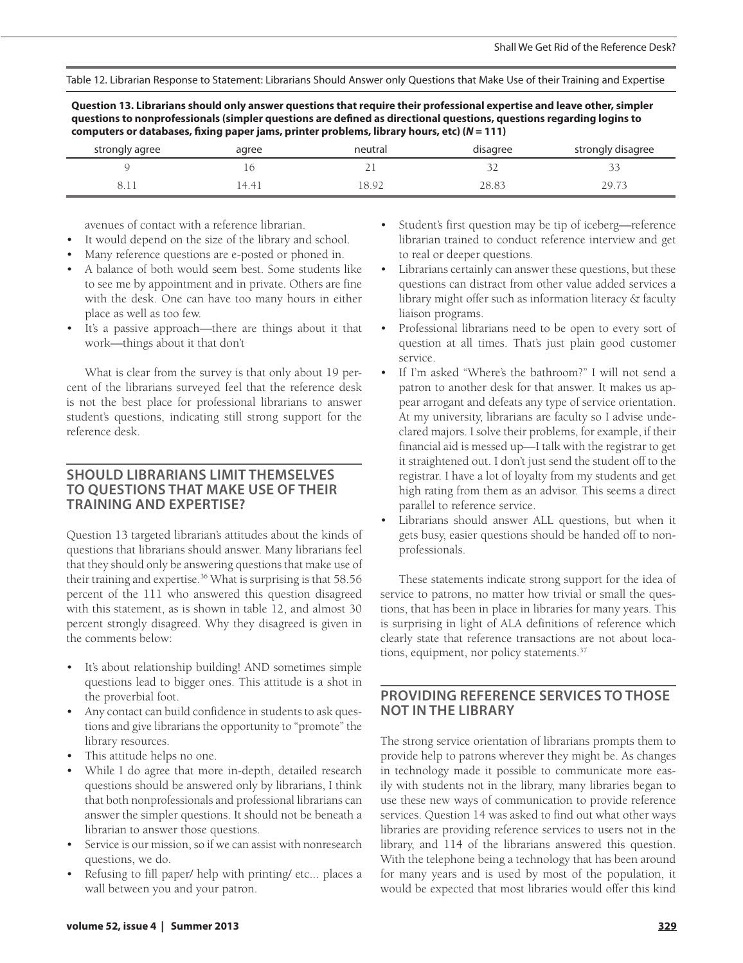Table 12. Librarian Response to Statement: Librarians Should Answer only Questions that Make Use of their Training and Expertise

| Question 13. Librarians should only answer questions that require their professional expertise and leave other, simpler |
|-------------------------------------------------------------------------------------------------------------------------|
| questions to nonprofessionals (simpler questions are defined as directional questions, questions regarding logins to    |
| computers or databases, fixing paper jams, printer problems, library hours, etc) ( $N = 111$ )                          |

| strongly agree | agree  | neutral    | disagree | strongly disagree               |
|----------------|--------|------------|----------|---------------------------------|
|                | 16     | <u>_ i</u> | ے ر      | --                              |
|                | 14.4.1 | 18.92      | 28.83    | οQ.<br>$\overline{\phantom{a}}$ |

avenues of contact with a reference librarian.

- It would depend on the size of the library and school.
- Many reference questions are e-posted or phoned in.
- A balance of both would seem best. Some students like to see me by appointment and in private. Others are fine with the desk. One can have too many hours in either place as well as too few.
- It's a passive approach—there are things about it that work—things about it that don't

What is clear from the survey is that only about 19 percent of the librarians surveyed feel that the reference desk is not the best place for professional librarians to answer student's questions, indicating still strong support for the reference desk.

# **Should Librarians Limit Themselves to Questions that Make Use of Their Training and Expertise?**

Question 13 targeted librarian's attitudes about the kinds of questions that librarians should answer. Many librarians feel that they should only be answering questions that make use of their training and expertise.<sup>36</sup> What is surprising is that 58.56 percent of the 111 who answered this question disagreed with this statement, as is shown in table 12, and almost 30 percent strongly disagreed. Why they disagreed is given in the comments below:

- It's about relationship building! AND sometimes simple questions lead to bigger ones. This attitude is a shot in the proverbial foot.
- Any contact can build confidence in students to ask questions and give librarians the opportunity to "promote" the library resources.
- This attitude helps no one.
- While I do agree that more in-depth, detailed research questions should be answered only by librarians, I think that both nonprofessionals and professional librarians can answer the simpler questions. It should not be beneath a librarian to answer those questions.
- Service is our mission, so if we can assist with nonresearch questions, we do.
- Refusing to fill paper/ help with printing/ etc... places a wall between you and your patron.
- • Student's first question may be tip of iceberg—reference librarian trained to conduct reference interview and get to real or deeper questions.
- • Librarians certainly can answer these questions, but these questions can distract from other value added services a library might offer such as information literacy & faculty liaison programs.
- Professional librarians need to be open to every sort of question at all times. That's just plain good customer service.
- If I'm asked "Where's the bathroom?" I will not send a patron to another desk for that answer. It makes us appear arrogant and defeats any type of service orientation. At my university, librarians are faculty so I advise undeclared majors. I solve their problems, for example, if their financial aid is messed up—I talk with the registrar to get it straightened out. I don't just send the student off to the registrar. I have a lot of loyalty from my students and get high rating from them as an advisor. This seems a direct parallel to reference service.
- Librarians should answer ALL questions, but when it gets busy, easier questions should be handed off to nonprofessionals.

These statements indicate strong support for the idea of service to patrons, no matter how trivial or small the questions, that has been in place in libraries for many years. This is surprising in light of ALA definitions of reference which clearly state that reference transactions are not about locations, equipment, nor policy statements.<sup>37</sup>

# **Providing Reference Services to Those not in the Library**

The strong service orientation of librarians prompts them to provide help to patrons wherever they might be. As changes in technology made it possible to communicate more easily with students not in the library, many libraries began to use these new ways of communication to provide reference services. Question 14 was asked to find out what other ways libraries are providing reference services to users not in the library, and 114 of the librarians answered this question. With the telephone being a technology that has been around for many years and is used by most of the population, it would be expected that most libraries would offer this kind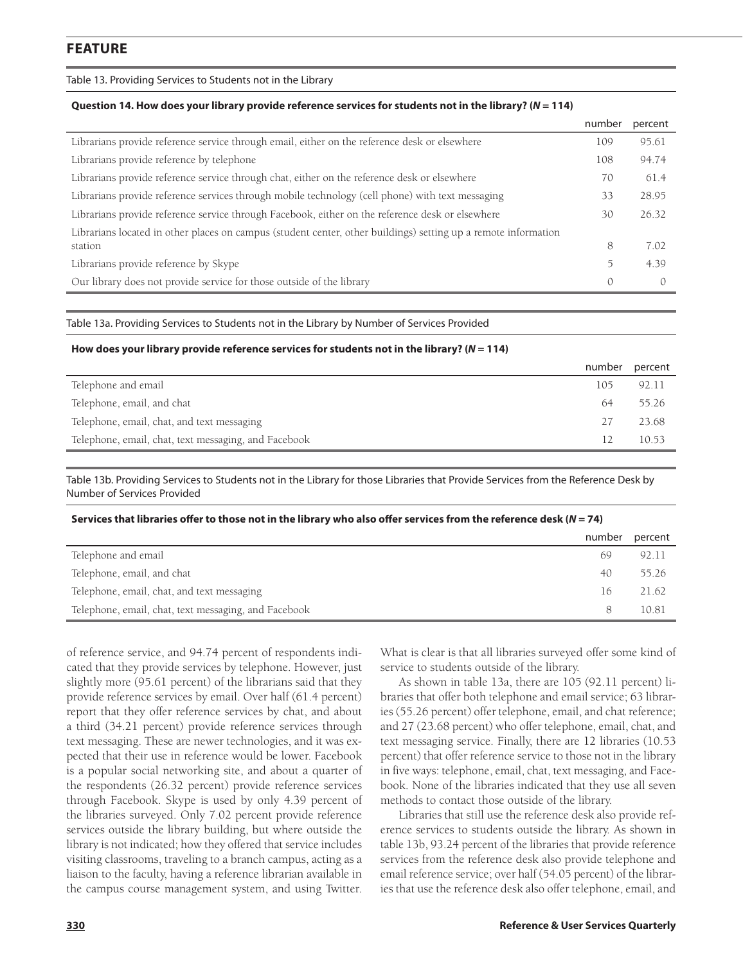Table 13. Providing Services to Students not in the Library

#### **Question 14. How does your library provide reference services for students not in the library? (***N* **= 114)**

|                                                                                                                | number   | percent |
|----------------------------------------------------------------------------------------------------------------|----------|---------|
| Librarians provide reference service through email, either on the reference desk or elsewhere                  | 109      | 95.61   |
| Librarians provide reference by telephone                                                                      | 108      | 94.74   |
| Librarians provide reference service through chat, either on the reference desk or elsewhere                   | 70       | 61.4    |
| Librarians provide reference services through mobile technology (cell phone) with text messaging               | 33       | 28.95   |
| Librarians provide reference service through Facebook, either on the reference desk or elsewhere               | 30       | 26.32   |
| Librarians located in other places on campus (student center, other buildings) setting up a remote information |          |         |
| station                                                                                                        | 8        | 7.02    |
| Librarians provide reference by Skype                                                                          | 5        | 4.39    |
| Our library does not provide service for those outside of the library                                          | $\Omega$ |         |

#### Table 13a. Providing Services to Students not in the Library by Number of Services Provided

#### **How does your library provide reference services for students not in the library? (***N* **= 114)**

|                                                      | number | percent |
|------------------------------------------------------|--------|---------|
| Telephone and email                                  | 105    | 92.11   |
| Telephone, email, and chat                           | 64     | 55.26   |
| Telephone, email, chat, and text messaging           | 27     | 23.68   |
| Telephone, email, chat, text messaging, and Facebook | 12     | 10.53   |

Table 13b. Providing Services to Students not in the Library for those Libraries that Provide Services from the Reference Desk by Number of Services Provided

#### **Services that libraries offer to those not in the library who also offer services from the reference desk (***N* **= 74)**

|                                                      | number | percent |
|------------------------------------------------------|--------|---------|
| Telephone and email                                  | 69     | 92.11   |
| Telephone, email, and chat                           | 40     | 55.26   |
| Telephone, email, chat, and text messaging           | 16     | 21.62   |
| Telephone, email, chat, text messaging, and Facebook |        | 10.81   |

of reference service, and 94.74 percent of respondents indicated that they provide services by telephone. However, just slightly more (95.61 percent) of the librarians said that they provide reference services by email. Over half (61.4 percent) report that they offer reference services by chat, and about a third (34.21 percent) provide reference services through text messaging. These are newer technologies, and it was expected that their use in reference would be lower. Facebook is a popular social networking site, and about a quarter of the respondents (26.32 percent) provide reference services through Facebook. Skype is used by only 4.39 percent of the libraries surveyed. Only 7.02 percent provide reference services outside the library building, but where outside the library is not indicated; how they offered that service includes visiting classrooms, traveling to a branch campus, acting as a liaison to the faculty, having a reference librarian available in the campus course management system, and using Twitter.

What is clear is that all libraries surveyed offer some kind of service to students outside of the library.

As shown in table 13a, there are 105 (92.11 percent) libraries that offer both telephone and email service; 63 libraries (55.26 percent) offer telephone, email, and chat reference; and 27 (23.68 percent) who offer telephone, email, chat, and text messaging service. Finally, there are 12 libraries (10.53 percent) that offer reference service to those not in the library in five ways: telephone, email, chat, text messaging, and Facebook. None of the libraries indicated that they use all seven methods to contact those outside of the library.

Libraries that still use the reference desk also provide reference services to students outside the library. As shown in table 13b, 93.24 percent of the libraries that provide reference services from the reference desk also provide telephone and email reference service; over half (54.05 percent) of the libraries that use the reference desk also offer telephone, email, and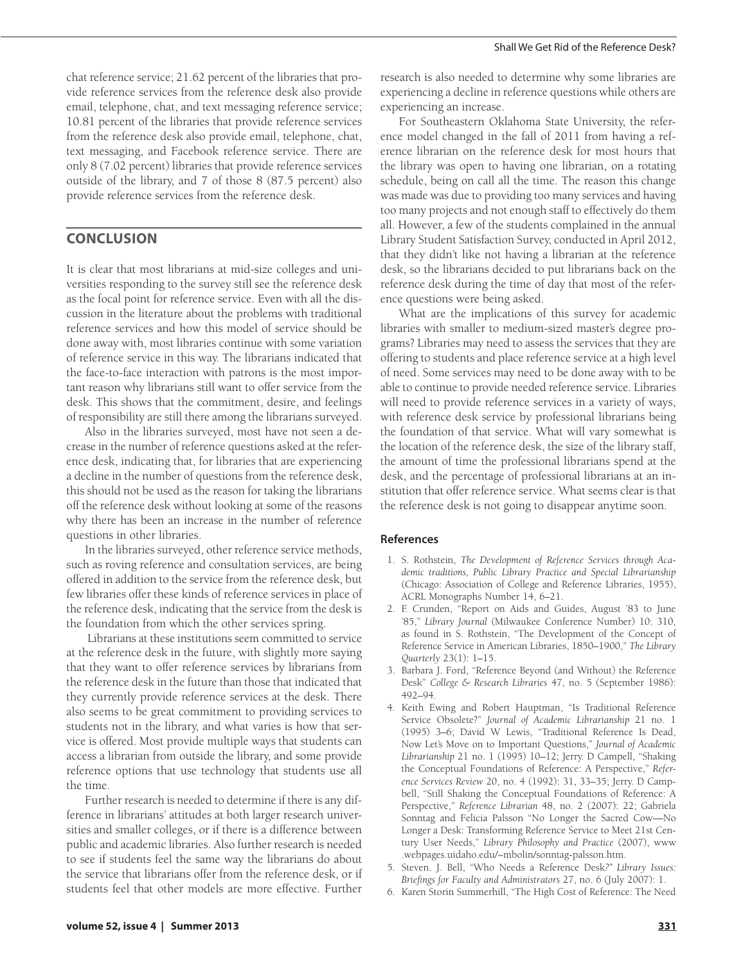chat reference service; 21.62 percent of the libraries that provide reference services from the reference desk also provide email, telephone, chat, and text messaging reference service; 10.81 percent of the libraries that provide reference services from the reference desk also provide email, telephone, chat, text messaging, and Facebook reference service. There are only 8 (7.02 percent) libraries that provide reference services outside of the library, and 7 of those 8 (87.5 percent) also provide reference services from the reference desk.

## **Conclusion**

It is clear that most librarians at mid-size colleges and universities responding to the survey still see the reference desk as the focal point for reference service. Even with all the discussion in the literature about the problems with traditional reference services and how this model of service should be done away with, most libraries continue with some variation of reference service in this way. The librarians indicated that the face-to-face interaction with patrons is the most important reason why librarians still want to offer service from the desk. This shows that the commitment, desire, and feelings of responsibility are still there among the librarians surveyed.

Also in the libraries surveyed, most have not seen a decrease in the number of reference questions asked at the reference desk, indicating that, for libraries that are experiencing a decline in the number of questions from the reference desk, this should not be used as the reason for taking the librarians off the reference desk without looking at some of the reasons why there has been an increase in the number of reference questions in other libraries.

In the libraries surveyed, other reference service methods, such as roving reference and consultation services, are being offered in addition to the service from the reference desk, but few libraries offer these kinds of reference services in place of the reference desk, indicating that the service from the desk is the foundation from which the other services spring.

 Librarians at these institutions seem committed to service at the reference desk in the future, with slightly more saying that they want to offer reference services by librarians from the reference desk in the future than those that indicated that they currently provide reference services at the desk. There also seems to be great commitment to providing services to students not in the library, and what varies is how that service is offered. Most provide multiple ways that students can access a librarian from outside the library, and some provide reference options that use technology that students use all the time.

Further research is needed to determine if there is any difference in librarians' attitudes at both larger research universities and smaller colleges, or if there is a difference between public and academic libraries. Also further research is needed to see if students feel the same way the librarians do about the service that librarians offer from the reference desk, or if students feel that other models are more effective. Further

research is also needed to determine why some libraries are experiencing a decline in reference questions while others are experiencing an increase.

For Southeastern Oklahoma State University, the reference model changed in the fall of 2011 from having a reference librarian on the reference desk for most hours that the library was open to having one librarian, on a rotating schedule, being on call all the time. The reason this change was made was due to providing too many services and having too many projects and not enough staff to effectively do them all. However, a few of the students complained in the annual Library Student Satisfaction Survey, conducted in April 2012, that they didn't like not having a librarian at the reference desk, so the librarians decided to put librarians back on the reference desk during the time of day that most of the reference questions were being asked.

What are the implications of this survey for academic libraries with smaller to medium-sized master's degree programs? Libraries may need to assess the services that they are offering to students and place reference service at a high level of need. Some services may need to be done away with to be able to continue to provide needed reference service. Libraries will need to provide reference services in a variety of ways, with reference desk service by professional librarians being the foundation of that service. What will vary somewhat is the location of the reference desk, the size of the library staff, the amount of time the professional librarians spend at the desk, and the percentage of professional librarians at an institution that offer reference service. What seems clear is that the reference desk is not going to disappear anytime soon.

#### **References**

- 1. S. Rothstein, *The Development of Reference Services through Academic traditions, Public Library Practice and Special Librarianship* (Chicago: Association of College and Reference Libraries, 1955), ACRL Monographs Number 14, 6–21.
- 2. F. Crunden, "Report on Aids and Guides, August '83 to June '85," *Library Journal* (Milwaukee Conference Number) 10: 310, as found in S. Rothstein, "The Development of the Concept of Reference Service in American Libraries, 1850–1900," *The Library Quarterly* 23(1): 1–15.
- 3. Barbara J. Ford, "Reference Beyond (and Without) the Reference Desk" *College & Research Libraries* 47, no. 5 (September 1986): 492–94.
- 4. Keith Ewing and Robert Hauptman, "Is Traditional Reference Service Obsolete?" *Journal of Academic Librarianship* 21 no. 1 (1995) 3–6; David W Lewis, "Traditional Reference Is Dead, Now Let's Move on to Important Questions," *Journal of Academic Librarianship* 21 no. 1 (1995) 10–12; Jerry. D Campell, "Shaking the Conceptual Foundations of Reference: A Perspective," *Reference Services Review* 20, no. 4 (1992): 31, 33–35; Jerry. D Campbell, "Still Shaking the Conceptual Foundations of Reference: A Perspective," *Reference Librarian* 48, no. 2 (2007): 22; Gabriela Sonntag and Felicia Palsson "No Longer the Sacred Cow—No Longer a Desk: Transforming Reference Service to Meet 21st Century User Needs," *Library Philosophy and Practice* (2007), www .webpages.uidaho.edu/~mbolin/sonntag-palsson.htm.
- 5. Steven. J. Bell, "Who Needs a Reference Desk*?" Library Issues: Briefings for Faculty and Administrators* 27, no. 6 (July 2007): 1.
- 6. Karen Storin Summerhill, "The High Cost of Reference: The Need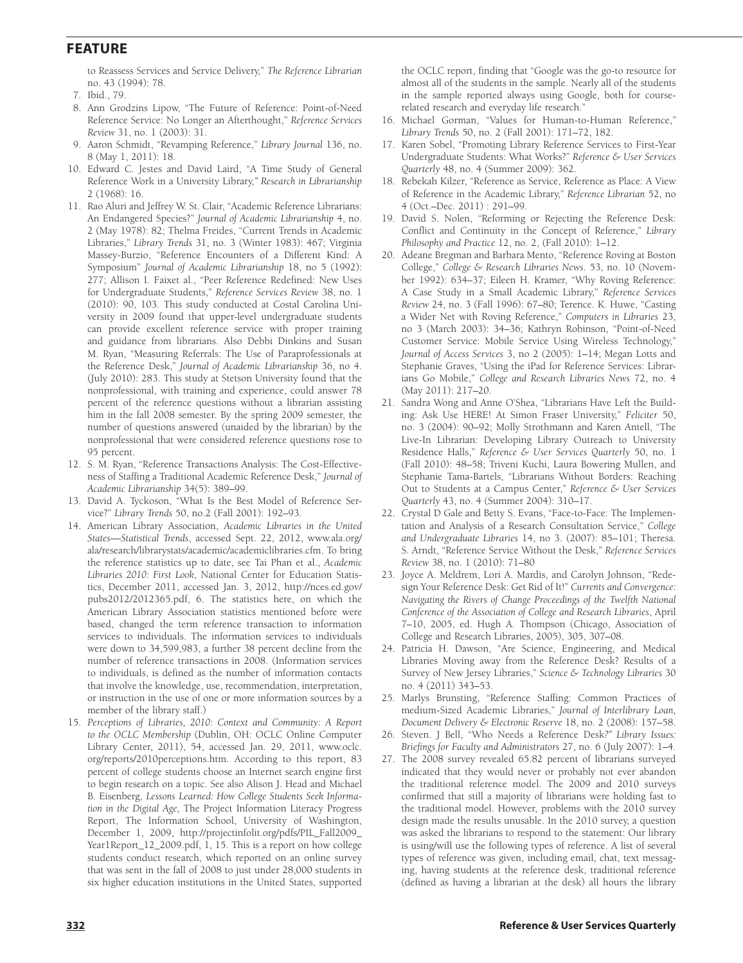to Reassess Services and Service Delivery," *The Reference Librarian* no. 43 (1994): 78.

- 7. Ibid., 79.
- 8. Ann Grodzins Lipow, "The Future of Reference: Point-of-Need Reference Service: No Longer an Afterthought," *Reference Services Review* 31, no. 1 (2003): 31.
- 9. Aaron Schmidt, "Revamping Reference," *Library Journal* 136, no. 8 (May 1, 2011): 18.
- 10. Edward C. Jestes and David Laird, "A Time Study of General Reference Work in a University Library,*" Research in Librarianship* 2 (1968): 16.
- 11. Rao Aluri and Jeffrey W. St. Clair, "Academic Reference Librarians: An Endangered Species?" *Journal of Academic Librarianship* 4, no. 2 (May 1978): 82; Thelma Freides, "Current Trends in Academic Libraries," *Library Trends* 31, no. 3 (Winter 1983): 467; Virginia Massey-Burzio, "Reference Encounters of a Different Kind: A Symposium" *Journal of Academic Librarianship* 18, no 5 (1992): 277; Allison I. Faixet al., "Peer Reference Redefined: New Uses for Undergraduate Students," *Reference Services Review* 38, no. 1 (2010): 90, 103. This study conducted at Costal Carolina University in 2009 found that upper-level undergraduate students can provide excellent reference service with proper training and guidance from librarians. Also Debbi Dinkins and Susan M. Ryan, "Measuring Referrals: The Use of Paraprofessionals at the Reference Desk," *Journal of Academic Librarianship* 36, no 4. (July 2010): 283. This study at Stetson University found that the nonprofessional, with training and experience, could answer 78 percent of the reference questions without a librarian assisting him in the fall 2008 semester. By the spring 2009 semester, the number of questions answered (unaided by the librarian) by the nonprofessional that were considered reference questions rose to 95 percent.
- 12. S. M. Ryan, "Reference Transactions Analysis: The Cost-Effectiveness of Staffing a Traditional Academic Reference Desk," *Journal of Academic Librarianship* 34(5): 389–99.
- 13. David A. Tyckoson, "What Is the Best Model of Reference Service?" *Library Trends* 50, no.2 (Fall 2001): 192–93.
- 14. American Library Association, *Academic Libraries in the United States—Statistical Trends*, accessed Sept. 22, 2012, www.ala.org/ ala/research/librarystats/academic/academiclibraries.cfm. To bring the reference statistics up to date, see Tai Phan et al., *Academic Libraries 2010: First Look*, National Center for Education Statistics, December 2011, accessed Jan. 3, 2012, http://nces.ed.gov/ pubs2012/2012365.pdf, 6. The statistics here, on which the American Library Association statistics mentioned before were based, changed the term reference transaction to information services to individuals. The information services to individuals were down to 34,599,983, a further 38 percent decline from the number of reference transactions in 2008. (Information services to individuals, is defined as the number of information contacts that involve the knowledge, use, recommendation, interpretation, or instruction in the use of one or more information sources by a member of the library staff.)
- 15. *Perceptions of Libraries, 2010: Context and Community: A Report to the OCLC Membership* (Dublin, OH: OCLC Online Computer Library Center, 2011), 54, accessed Jan. 29, 2011, www.oclc. org/reports/2010perceptions.htm. According to this report, 83 percent of college students choose an Internet search engine first to begin research on a topic. See also Alison J. Head and Michael B. Eisenberg, *Lessons Learned: How College Students Seek Information in the Digital Age,* The Project Information Literacy Progress Report, The Information School, University of Washington, December 1, 2009, http://projectinfolit.org/pdfs/PIL\_Fall2009\_ Year1Report\_12\_2009.pdf, 1, 15. This is a report on how college students conduct research, which reported on an online survey that was sent in the fall of 2008 to just under 28,000 students in six higher education institutions in the United States, supported

the OCLC report, finding that "Google was the go-to resource for almost all of the students in the sample. Nearly all of the students in the sample reported always using Google, both for courserelated research and everyday life research."

- 16. Michael Gorman, "Values for Human-to-Human Reference," *Library Trends* 50, no. 2 (Fall 2001): 171–72, 182.
- 17. Karen Sobel, "Promoting Library Reference Services to First-Year Undergraduate Students: What Works?" *Reference & User Services Quarterly* 48, no. 4 (Summer 2009): 362.
- 18. Rebekah Kilzer, "Reference as Service, Reference as Place: A View of Reference in the Academic Library," *Reference Librarian* 52, no 4 (Oct.–Dec. 2011) : 291–99.
- 19. David S. Nolen, "Reforming or Rejecting the Reference Desk: Conflict and Continuity in the Concept of Reference," *Library Philosophy and Practice* 12, no. 2, (Fall 2010): 1–12.
- 20. Adeane Bregman and Barbara Mento, "Reference Roving at Boston College," *College & Research Libraries News*. 53, no. 10 (November 1992): 634–37; Eileen H. Kramer, "Why Roving Reference: A Case Study in a Small Academic Library," *Reference Services Review* 24, no. 3 (Fall 1996): 67–80; Terence. K. Huwe, "Casting a Wider Net with Roving Reference," *Computers in Libraries* 23, no 3 (March 2003): 34–36; Kathryn Robinson, "Point-of-Need Customer Service: Mobile Service Using Wireless Technology," *Journal of Access Services* 3, no 2 (2005): 1–14; Megan Lotts and Stephanie Graves, "Using the iPad for Reference Services: Librarians Go Mobile," *College and Research Libraries News* 72, no. 4 (May 2011): 217–20.
- 21. Sandra Wong and Anne O'Shea, "Librarians Have Left the Building: Ask Use HERE! At Simon Fraser University," *Feliciter* 50, no. 3 (2004): 90–92; Molly Strothmann and Karen Antell, "The Live-In Librarian: Developing Library Outreach to University Residence Halls," *Reference & User Services Quarterly* 50, no. 1 (Fall 2010): 48–58; Triveni Kuchi, Laura Bowering Mullen, and Stephanie Tama-Bartels, "Librarians Without Borders: Reaching Out to Students at a Campus Center," *Reference & User Services Quarterly* 43, no. 4 (Summer 2004): 310–17.
- 22. Crystal D Gale and Betty S. Evans, "Face-to-Face: The Implementation and Analysis of a Research Consultation Service," *College and Undergraduate Libraries* 14, no 3. (2007): 85–101; Theresa. S. Arndt, "Reference Service Without the Desk," *Reference Services Review* 38, no. 1 (2010): 71–80
- 23. Joyce A. Meldrem, Lori A. Mardis, and Carolyn Johnson, "Redesign Your Reference Desk: Get Rid of It!" *Currents and Convergence: Navigating the Rivers of Change Proceedings of the Twelfth National Conference of the Association of College and Research Libraries*, April 7–10, 2005, ed. Hugh A. Thompson (Chicago, Association of College and Research Libraries, 2005), 305, 307–08.
- 24. Patricia H. Dawson, "Are Science, Engineering, and Medical Libraries Moving away from the Reference Desk? Results of a Survey of New Jersey Libraries," *Science & Technology Libraries* 30 no. 4 (2011) 343–53.
- 25. Marlys Brunsting, "Reference Staffing: Common Practices of medium-Sized Academic Libraries," *Journal of Interlibrary Loan, Document Delivery & Electronic Reserve* 18, no. 2 (2008): 157–58.
- 26. Steven. J Bell, "Who Needs a Reference Desk*?" Library Issues: Briefings for Faculty and Administrators* 27, no. 6 (July 2007): 1–4.
- 27. The 2008 survey revealed 65.82 percent of librarians surveyed indicated that they would never or probably not ever abandon the traditional reference model. The 2009 and 2010 surveys confirmed that still a majority of librarians were holding fast to the traditional model. However, problems with the 2010 survey design made the results unusable. In the 2010 survey, a question was asked the librarians to respond to the statement: Our library is using/will use the following types of reference. A list of several types of reference was given, including email, chat, text messaging, having students at the reference desk, traditional reference (defined as having a librarian at the desk) all hours the library